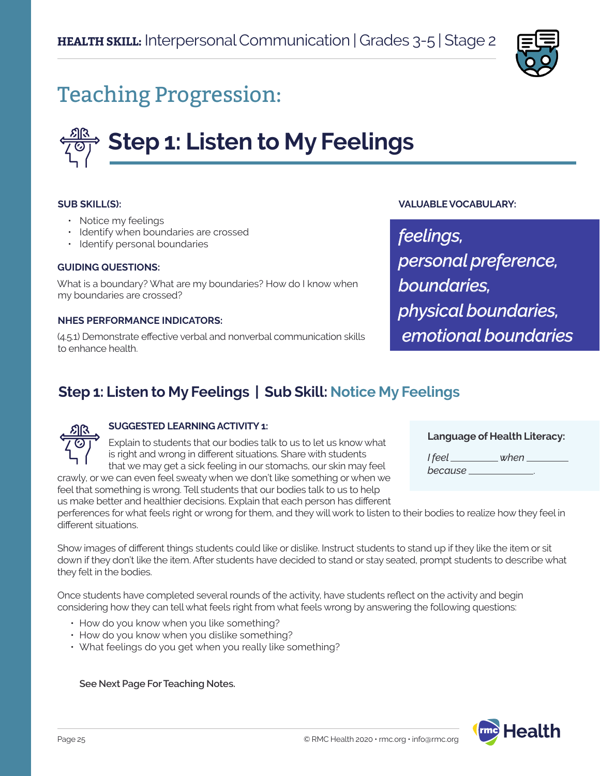

## Teaching Progression:

# **Step 1: Listen to My Feelings**

#### **SUB SKILL(S):**

- Notice my feelings
- Identify when boundaries are crossed
- Identify personal boundaries

#### **GUIDING QUESTIONS:**

What is a boundary? What are my boundaries? How do I know when my boundaries are crossed?

#### **NHES PERFORMANCE INDICATORS:**

(4.5.1) Demonstrate effective verbal and nonverbal communication skills to enhance health.

#### **VALUABLE VOCABULARY:**

*feelings, personal preference, boundaries, physical boundaries, emotional boundaries*

## **Step 1: Listen to My Feelings | Sub Skill: Notice My Feelings**



#### **SUGGESTED LEARNING ACTIVITY 1:**

Explain to students that our bodies talk to us to let us know what is right and wrong in different situations. Share with students that we may get a sick feeling in our stomachs, our skin may feel crawly, or we can even feel sweaty when we don't like something or when we

feel that something is wrong. Tell students that our bodies talk to us to help us make better and healthier decisions. Explain that each person has different

#### **Language of Health Literacy:**

*I feel when because* .

perferences for what feels right or wrong for them, and they will work to listen to their bodies to realize how they feel in different situations.

Show images of different things students could like or dislike. Instruct students to stand up if they like the item or sit down if they don't like the item. After students have decided to stand or stay seated, prompt students to describe what they felt in the bodies.

Once students have completed several rounds of the activity, have students reflect on the activity and begin considering how they can tell what feels right from what feels wrong by answering the following questions:

- How do you know when you like something?
- How do you know when you dislike something?
- What feelings do you get when you really like something?

**See Next Page For Teaching Notes.**

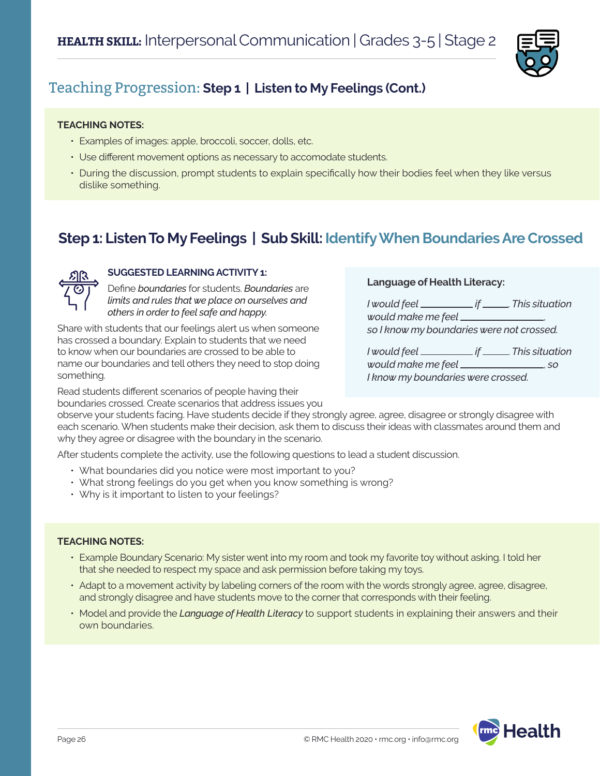

## Teaching Progression: **Step 1 | Listen to My Feelings (Cont.)**

#### **TEACHING NOTES:**

- Examples of images: apple, broccoli, soccer, dolls, etc.
- Use different movement options as necessary to accomodate students.
- During the discussion, prompt students to explain specifically how their bodies feel when they like versus dislike something.

## **Step 1: Listen To My Feelings | Sub Skill: Identify When Boundaries Are Crossed**



#### **SUGGESTED LEARNING ACTIVITY 1:**

Define *boundaries* for students. *Boundaries* are *limits and rules that we place on ourselves and others in order to feel safe and happy.* 

Share with students that our feelings alert us when someone has crossed a boundary. Explain to students that we need to know when our boundaries are crossed to be able to name our boundaries and tell others they need to stop doing something.

Read students different scenarios of people having their boundaries crossed. Create scenarios that address issues you

#### **Language of Health Literacy:**

| would make me feel ____________           |  |
|-------------------------------------------|--|
| so I know my boundaries were not crossed. |  |

|                                    | . if _______. This situation |
|------------------------------------|------------------------------|
| would make me feel ___________     | .50                          |
| I know my boundaries were crossed. |                              |

observe your students facing. Have students decide if they strongly agree, agree, disagree or strongly disagree with each scenario. When students make their decision, ask them to discuss their ideas with classmates around them and why they agree or disagree with the boundary in the scenario.

After students complete the activity, use the following questions to lead a student discussion.

- What boundaries did you notice were most important to you?
- What strong feelings do you get when you know something is wrong?
- Why is it important to listen to your feelings?

#### **TEACHING NOTES:**

- Example Boundary Scenario: My sister went into my room and took my favorite toy without asking. I told her that she needed to respect my space and ask permission before taking my toys.
- Adapt to a movement activity by labeling corners of the room with the words strongly agree, agree, disagree, and strongly disagree and have students move to the corner that corresponds with their feeling.
- Model and provide the *Language of Health Literacy* to support students in explaining their answers and their own boundaries.